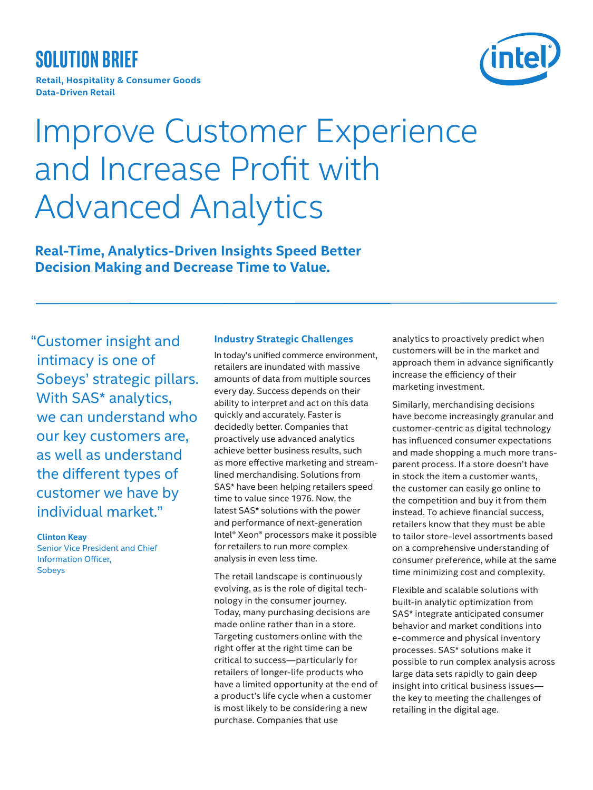# **Solution brief**

**Retail, Hospitality & Consumer Goods Data-Driven Retail**



# Improve Customer Experience and Increase Profit with Advanced Analytics

**Real-Time, Analytics-Driven Insights Speed Better Decision Making and Decrease Time to Value.**

"Customer insight and intimacy is one of Sobeys' strategic pillars. With SAS\* analytics, we can understand who our key customers are, as well as understand the different types of customer we have by individual market."

## **Clinton Keay**

Senior Vice President and Chief Information Officer, Sobeys

# **Industry Strategic Challenges**

In today's unified commerce environment, retailers are inundated with massive amounts of data from multiple sources every day. Success depends on their ability to interpret and act on this data quickly and accurately. Faster is decidedly better. Companies that proactively use advanced analytics achieve better business results, such as more effective marketing and streamlined merchandising. Solutions from SAS\* have been helping retailers speed time to value since 1976. Now, the latest SAS\* solutions with the power and performance of next-generation Intel® Xeon® processors make it possible for retailers to run more complex analysis in even less time.

The retail landscape is continuously evolving, as is the role of digital technology in the consumer journey. Today, many purchasing decisions are made online rather than in a store. Targeting customers online with the right offer at the right time can be critical to success—particularly for retailers of longer-life products who have a limited opportunity at the end of a product's life cycle when a customer is most likely to be considering a new purchase. Companies that use

analytics to proactively predict when customers will be in the market and approach them in advance significantly increase the efficiency of their marketing investment.

Similarly, merchandising decisions have become increasingly granular and customer-centric as digital technology has influenced consumer expectations and made shopping a much more transparent process. If a store doesn't have in stock the item a customer wants, the customer can easily go online to the competition and buy it from them instead. To achieve financial success, retailers know that they must be able to tailor store-level assortments based on a comprehensive understanding of consumer preference, while at the same time minimizing cost and complexity.

Flexible and scalable solutions with built-in analytic optimization from SAS\* integrate anticipated consumer behavior and market conditions into e-commerce and physical inventory processes. SAS\* solutions make it possible to run complex analysis across large data sets rapidly to gain deep insight into critical business issues the key to meeting the challenges of retailing in the digital age.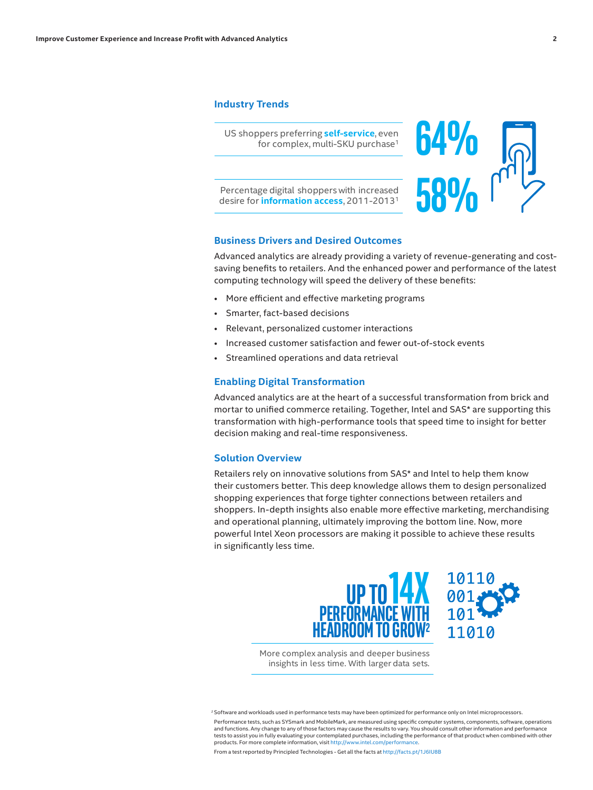# **Industry Trends**

US shoppers preferring **self-service**, even for complex, multi-SKU purchase1

Percentage digital shoppers with increased desire for **information access**, 2011-20131



# **Business Drivers and Desired Outcomes**

Advanced analytics are already providing a variety of revenue-generating and costsaving benefits to retailers. And the enhanced power and performance of the latest computing technology will speed the delivery of these benefits:

- More efficient and effective marketing programs
- Smarter, fact-based decisions
- Relevant, personalized customer interactions
- Increased customer satisfaction and fewer out-of-stock events
- Streamlined operations and data retrieval

# **Enabling Digital Transformation**

Advanced analytics are at the heart of a successful transformation from brick and mortar to unified commerce retailing. Together, Intel and SAS\* are supporting this transformation with high-performance tools that speed time to insight for better decision making and real-time responsiveness.

## **Solution Overview**

Retailers rely on innovative solutions from SAS\* and Intel to help them know their customers better. This deep knowledge allows them to design personalized shopping experiences that forge tighter connections between retailers and shoppers. In-depth insights also enable more effective marketing, merchandising and operational planning, ultimately improving the bottom line. Now, more powerful Intel Xeon processors are making it possible to achieve these results in significantly less time.





More complex analysis and deeper business insights in less time. With larger data sets.

<sup>2</sup> Software and workloads used in performance tests may have been optimized for performance only on Intel microprocessors. Performance tests, such as SYSmark and MobileMark, are measured using specific computer systems, components, software, operations and functions. Any change to any of those factors may cause the results to vary. You should consult other information and performance tests to assist you in fully evaluating your contemplated purchases, including the performance of that product when combined with other products. For more complete information, visit http://www.intel.com/performation.

From a test reported by Principled Technologies - Get all the facts at <http://facts.pt/1J6IU8B>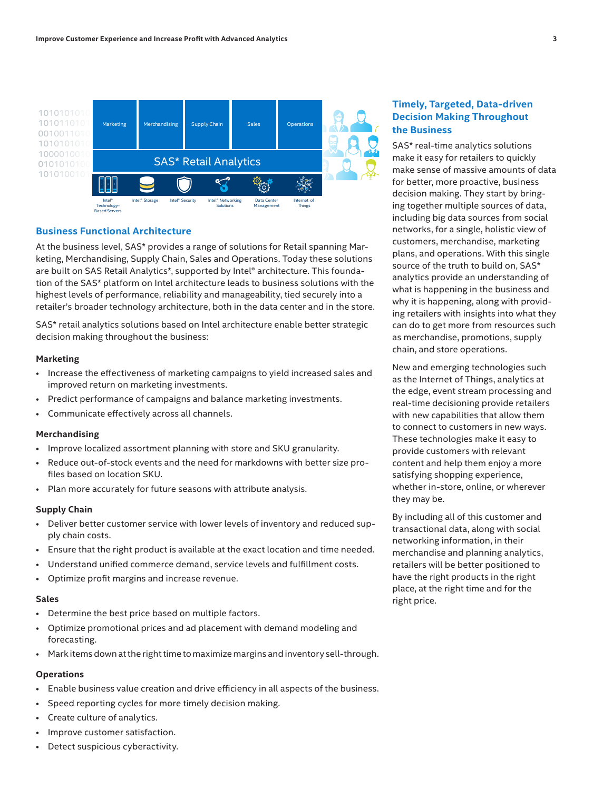

## **Business Functional Architecture**

At the business level, SAS\* provides a range of solutions for Retail spanning Mar-4 keting, Merchandising, Supply Chain, Sales and Operations. Today these solutions are built on SAS Retail Analytics\*, supported by Intel® architecture. This foundation of the SAS\* platform on Intel architecture leads to business solutions with the highest levels of performance, reliability and manageability, tied securely into a retailer's broader technology architecture, both in the data center and in the store.

SAS\* retail analytics solutions based on Intel architecture enable better strategic decision making throughout the business:

#### **Marketing**

- Increase the effectiveness of marketing campaigns to yield increased sales and improved return on marketing investments.
- Predict performance of campaigns and balance marketing investments.
- Communicate effectively across all channels.

#### **Merchandising**

- Improve localized assortment planning with store and SKU granularity.
- Reduce out-of-stock events and the need for markdowns with better size profiles based on location SKU.
- Plan more accurately for future seasons with attribute analysis.

#### **Supply Chain**

- Deliver better customer service with lower levels of inventory and reduced supply chain costs.
- Ensure that the right product is available at the exact location and time needed.
- Understand unified commerce demand, service levels and fulfillment costs.
- Optimize profit margins and increase revenue.

#### **Sales**

- Determine the best price based on multiple factors.
- Optimize promotional prices and ad placement with demand modeling and forecasting.
- Mark items down at the right time to maximize margins and inventory sell-through.

## **Operations**

- Enable business value creation and drive efficiency in all aspects of the business.
- Speed reporting cycles for more timely decision making.
- Create culture of analytics.
- Improve customer satisfaction.
- Detect suspicious cyberactivity.

# **Timely, Targeted, Data-driven Decision Making Throughout the Business**

SAS\* real-time analytics solutions make it easy for retailers to quickly make sense of massive amounts of data for better, more proactive, business decision making. They start by bringing together multiple sources of data, including big data sources from social networks, for a single, holistic view of customers, merchandise, marketing plans, and operations. With this single source of the truth to build on, SAS\* analytics provide an understanding of what is happening in the business and why it is happening, along with providing retailers with insights into what they can do to get more from resources such as merchandise, promotions, supply chain, and store operations.

New and emerging technologies such as the Internet of Things, analytics at the edge, event stream processing and real-time decisioning provide retailers with new capabilities that allow them to connect to customers in new ways. These technologies make it easy to provide customers with relevant content and help them enjoy a more satisfying shopping experience, whether in-store, online, or wherever they may be.

By including all of this customer and transactional data, along with social networking information, in their merchandise and planning analytics, retailers will be better positioned to have the right products in the right place, at the right time and for the right price.